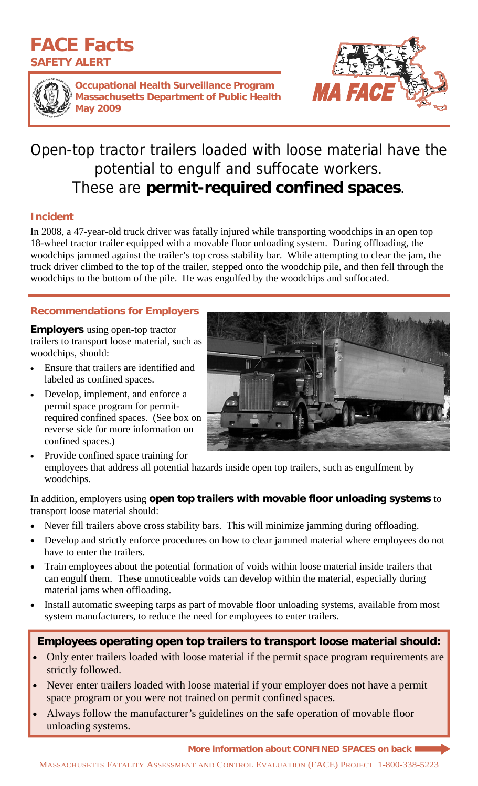# **FACE Facts SAFETY ALERT**



**Occupational Health Surveillance Program Massachusetts Department of Public Health May 2009** 



# Open-top tractor trailers loaded with loose material have the potential to engulf and suffocate workers. These are **permit-required confined spaces**.

### **Incident**

In 2008, a 47-year-old truck driver was fatally injured while transporting woodchips in an open top 18-wheel tractor trailer equipped with a movable floor unloading system. During offloading, the woodchips jammed against the trailer's top cross stability bar. While attempting to clear the jam, the truck driver climbed to the top of the trailer, stepped onto the woodchip pile, and then fell through the woodchips to the bottom of the pile. He was engulfed by the woodchips and suffocated.

## **Recommendations for Employers**

**Employers** using open-top tractor trailers to transport loose material, such as woodchips, should:

- Ensure that trailers are identified and labeled as confined spaces.
- Develop, implement, and enforce a permit space program for permitrequired confined spaces. (See box on reverse side for more information on confined spaces.)



• Provide confined space training for employees that address all potential hazards inside open top trailers, such as engulfment by woodchips.

In addition, employers using **open top trailers with movable floor unloading systems** to transport loose material should:

- Never fill trailers above cross stability bars. This will minimize jamming during offloading.
- Develop and strictly enforce procedures on how to clear jammed material where employees do not have to enter the trailers.
- Train employees about the potential formation of voids within loose material inside trailers that can engulf them. These unnoticeable voids can develop within the material, especially during material jams when offloading.
- Install automatic sweeping tarps as part of movable floor unloading systems, available from most system manufacturers, to reduce the need for employees to enter trailers.

# **Employees operating open top trailers to transport loose material should:**

- Only enter trailers loaded with loose material if the permit space program requirements are strictly followed.
- Never enter trailers loaded with loose material if your employer does not have a permit space program or you were not trained on permit confined spaces.
- Always follow the manufacturer's guidelines on the safe operation of movable floor unloading systems.

**More information about CONFINED SPACES on back**